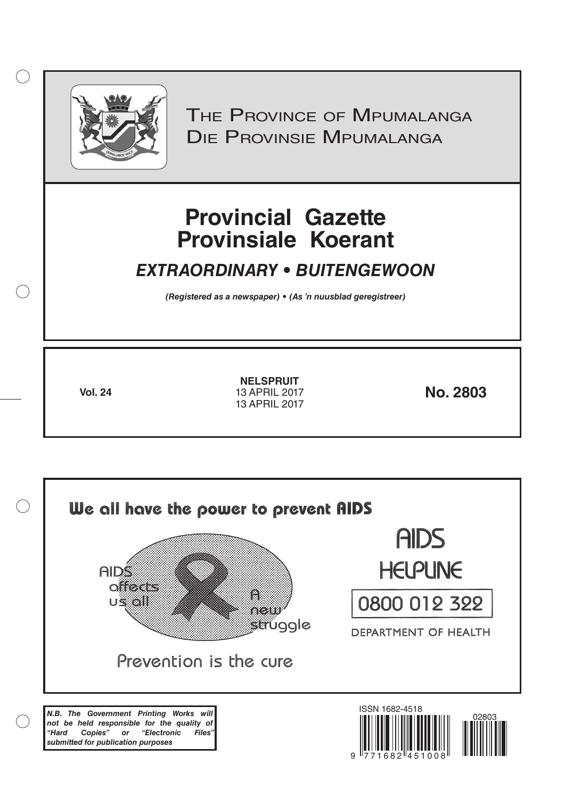

 $( )$ 

THE PROVINCE OF MPUMALANGA Die Provinsie Mpumalanga

# **Provincial Gazette Provinsiale Koerant**

## *EXTRAORDINARY • BUITENGEWOON*

*(Registered as a newspaper) • (As 'n nuusblad geregistreer)*

**Vol. 24 No. 2803** 13 APRIL 2017 **NELSPRUIT** 13 APRIL 2017

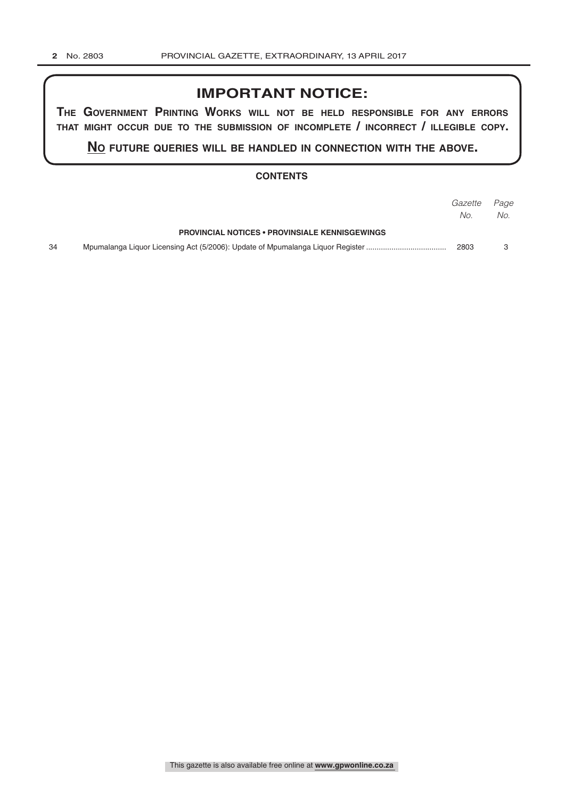## **IMPORTANT NOTICE:**

**The GovernmenT PrinTinG Works Will noT be held resPonsible for any errors ThaT miGhT occur due To The submission of incomPleTe / incorrecT / illeGible coPy.**

**no fuTure queries Will be handled in connecTion WiTh The above.**

#### **CONTENTS**

|    |                                                       | Gazette | Page |
|----|-------------------------------------------------------|---------|------|
|    |                                                       | No.     | No.  |
|    | <b>PROVINCIAL NOTICES • PROVINSIALE KENNISGEWINGS</b> |         |      |
| 34 |                                                       | 2803    |      |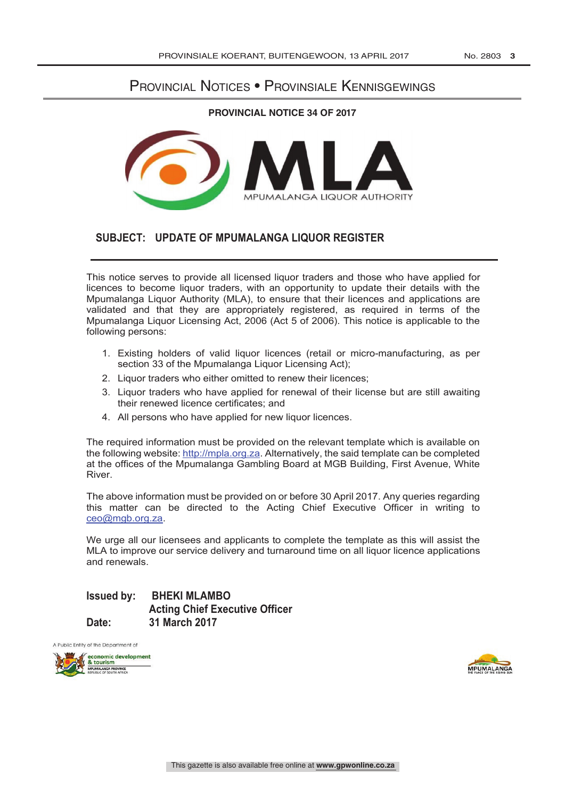## Provincial Notices • Provinsiale Kennisgewings

#### **PROVINCIAL NOTICE 34 OF 2017**



## **SUBJECT: UPDATE OF MPUMALANGA LIQUOR REGISTER**

This notice serves to provide all licensed liquor traders and those who have applied for licences to become liquor traders, with an opportunity to update their details with the Mpumalanga Liquor Authority (MLA), to ensure that their licences and applications are validated and that they are appropriately registered, as required in terms of the Mpumalanga Liquor Licensing Act, 2006 (Act 5 of 2006). This notice is applicable to the following persons:

- 1. Existing holders of valid liquor licences (retail or micro-manufacturing, as per section 33 of the Mpumalanga Liquor Licensing Act);
- 2. Liquor traders who either omitted to renew their licences;
- 3. Liquor traders who have applied for renewal of their license but are still awaiting their renewed licence certificates; and
- 4. All persons who have applied for new liquor licences.

The required information must be provided on the relevant template which is available on the following website: http://mpla.org.za. Alternatively, the said template can be completed at the offices of the Mpumalanga Gambling Board at MGB Building, First Avenue, White River.

The above information must be provided on or before 30 April 2017. Any queries regarding this matter can be directed to the Acting Chief Executive Officer in writing to ceo@mgb.org.za.

We urge all our licensees and applicants to complete the template as this will assist the MLA to improve our service delivery and turnaround time on all liquor licence applications and renewals.

## **Issued by: BHEKI MLAMBO Acting Chief Executive Officer Date: 31 March 2017**

A Public Entity of the Department of